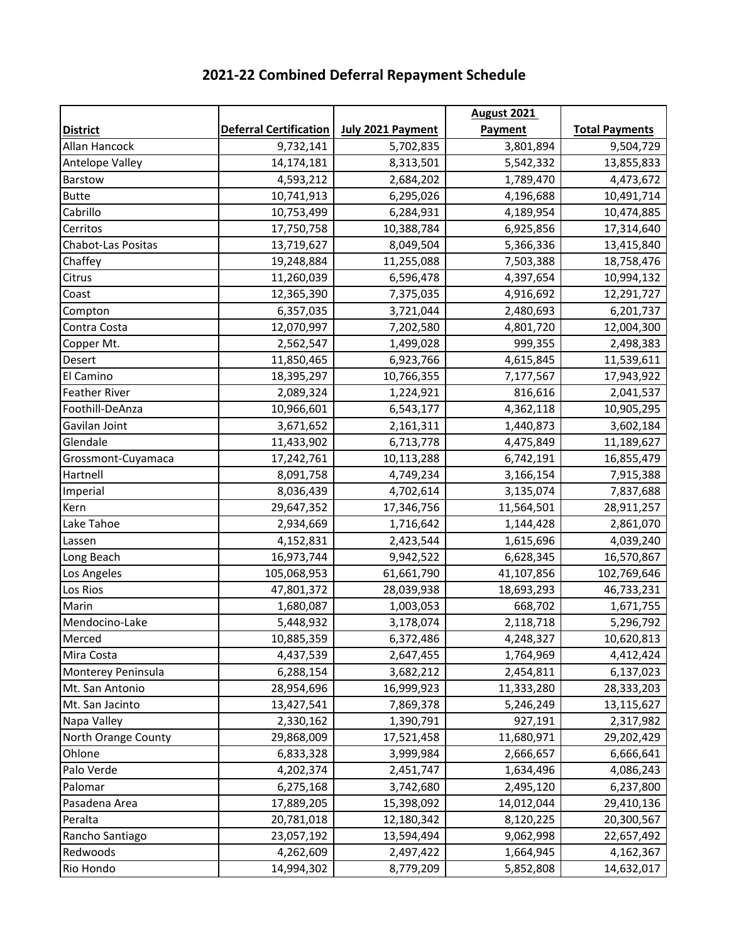|                      |                               |                          | <b>August 2021</b> |                       |
|----------------------|-------------------------------|--------------------------|--------------------|-----------------------|
| <b>District</b>      | <b>Deferral Certification</b> | <b>July 2021 Payment</b> | Payment            | <b>Total Payments</b> |
| Allan Hancock        | 9,732,141                     | 5,702,835                | 3,801,894          | 9,504,729             |
| Antelope Valley      | 14,174,181                    | 8,313,501                | 5,542,332          | 13,855,833            |
| Barstow              | 4,593,212                     | 2,684,202                | 1,789,470          | 4,473,672             |
| <b>Butte</b>         | 10,741,913                    | 6,295,026                | 4,196,688          | 10,491,714            |
| Cabrillo             | 10,753,499                    | 6,284,931                | 4,189,954          | 10,474,885            |
| Cerritos             | 17,750,758                    | 10,388,784               | 6,925,856          | 17,314,640            |
| Chabot-Las Positas   | 13,719,627                    | 8,049,504                | 5,366,336          | 13,415,840            |
| Chaffey              | 19,248,884                    | 11,255,088               | 7,503,388          | 18,758,476            |
| Citrus               | 11,260,039                    | 6,596,478                | 4,397,654          | 10,994,132            |
| Coast                | 12,365,390                    | 7,375,035                | 4,916,692          | 12,291,727            |
| Compton              | 6,357,035                     | 3,721,044                | 2,480,693          | 6,201,737             |
| Contra Costa         | 12,070,997                    | 7,202,580                | 4,801,720          | 12,004,300            |
| Copper Mt.           | 2,562,547                     | 1,499,028                | 999,355            | 2,498,383             |
| Desert               | 11,850,465                    | 6,923,766                | 4,615,845          | 11,539,611            |
| El Camino            | 18,395,297                    | 10,766,355               | 7,177,567          | 17,943,922            |
| <b>Feather River</b> | 2,089,324                     | 1,224,921                | 816,616            | 2,041,537             |
| Foothill-DeAnza      | 10,966,601                    | 6,543,177                | 4,362,118          | 10,905,295            |
| Gavilan Joint        | 3,671,652                     | 2,161,311                | 1,440,873          | 3,602,184             |
| Glendale             | 11,433,902                    | 6,713,778                | 4,475,849          | 11,189,627            |
| Grossmont-Cuyamaca   | 17,242,761                    | 10,113,288               | 6,742,191          | 16,855,479            |
| Hartnell             | 8,091,758                     | 4,749,234                | 3,166,154          | 7,915,388             |
| Imperial             | 8,036,439                     | 4,702,614                | 3,135,074          | 7,837,688             |
| Kern                 | 29,647,352                    | 17,346,756               | 11,564,501         | 28,911,257            |
| Lake Tahoe           | 2,934,669                     | 1,716,642                | 1,144,428          | 2,861,070             |
| Lassen               | 4,152,831                     | 2,423,544                | 1,615,696          | 4,039,240             |
| Long Beach           | 16,973,744                    | 9,942,522                | 6,628,345          | 16,570,867            |
| Los Angeles          | 105,068,953                   | 61,661,790               | 41,107,856         | 102,769,646           |
| Los Rios             | 47,801,372                    | 28,039,938               | 18,693,293         | 46,733,231            |
| Marin                | 1,680,087                     | 1,003,053                | 668,702            | 1,671,755             |
| Mendocino-Lake       | 5,448,932                     | 3,178,074                | 2,118,718          | 5,296,792             |
| Merced               | 10,885,359                    | 6,372,486                | 4,248,327          | 10,620,813            |
| Mira Costa           | 4,437,539                     | 2,647,455                | 1,764,969          | 4,412,424             |
| Monterey Peninsula   | 6,288,154                     | 3,682,212                | 2,454,811          | 6,137,023             |
| Mt. San Antonio      | 28,954,696                    | 16,999,923               | 11,333,280         | 28,333,203            |
| Mt. San Jacinto      | 13,427,541                    | 7,869,378                | 5,246,249          | 13,115,627            |
| Napa Valley          | 2,330,162                     | 1,390,791                | 927,191            | 2,317,982             |
| North Orange County  | 29,868,009                    | 17,521,458               | 11,680,971         | 29,202,429            |
| Ohlone               | 6,833,328                     | 3,999,984                | 2,666,657          | 6,666,641             |
| Palo Verde           | 4,202,374                     | 2,451,747                | 1,634,496          | 4,086,243             |
| Palomar              | 6,275,168                     | 3,742,680                | 2,495,120          | 6,237,800             |
| Pasadena Area        | 17,889,205                    | 15,398,092               | 14,012,044         | 29,410,136            |
| Peralta              | 20,781,018                    | 12,180,342               | 8,120,225          | 20,300,567            |
| Rancho Santiago      | 23,057,192                    | 13,594,494               | 9,062,998          | 22,657,492            |
| Redwoods             | 4,262,609                     | 2,497,422                | 1,664,945          | 4,162,367             |
| Rio Hondo            | 14,994,302                    | 8,779,209                | 5,852,808          | 14,632,017            |

## **2021-22 Combined Deferral Repayment Schedule**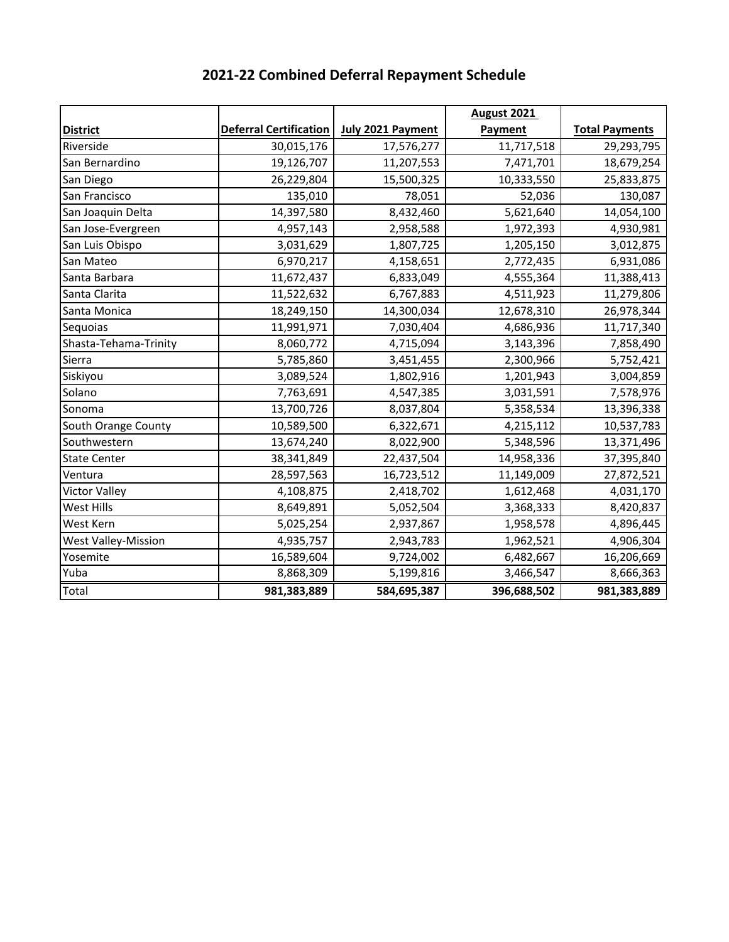|                            |                               |                   | <b>August 2021</b> |                       |
|----------------------------|-------------------------------|-------------------|--------------------|-----------------------|
| <b>District</b>            | <b>Deferral Certification</b> | July 2021 Payment | Payment            | <b>Total Payments</b> |
| Riverside                  | 30,015,176                    | 17,576,277        | 11,717,518         | 29,293,795            |
| San Bernardino             | 19,126,707                    | 11,207,553        | 7,471,701          | 18,679,254            |
| San Diego                  | 26,229,804                    | 15,500,325        | 10,333,550         | 25,833,875            |
| San Francisco              | 135,010                       | 78,051            | 52,036             | 130,087               |
| San Joaquin Delta          | 14,397,580                    | 8,432,460         | 5,621,640          | 14,054,100            |
| San Jose-Evergreen         | 4,957,143                     | 2,958,588         | 1,972,393          | 4,930,981             |
| San Luis Obispo            | 3,031,629                     | 1,807,725         | 1,205,150          | 3,012,875             |
| San Mateo                  | 6,970,217                     | 4,158,651         | 2,772,435          | 6,931,086             |
| Santa Barbara              | 11,672,437                    | 6,833,049         | 4,555,364          | 11,388,413            |
| Santa Clarita              | 11,522,632                    | 6,767,883         | 4,511,923          | 11,279,806            |
| Santa Monica               | 18,249,150                    | 14,300,034        | 12,678,310         | 26,978,344            |
| Sequoias                   | 11,991,971                    | 7,030,404         | 4,686,936          | 11,717,340            |
| Shasta-Tehama-Trinity      | 8,060,772                     | 4,715,094         | 3,143,396          | 7,858,490             |
| Sierra                     | 5,785,860                     | 3,451,455         | 2,300,966          | 5,752,421             |
| Siskiyou                   | 3,089,524                     | 1,802,916         | 1,201,943          | 3,004,859             |
| Solano                     | 7,763,691                     | 4,547,385         | 3,031,591          | 7,578,976             |
| Sonoma                     | 13,700,726                    | 8,037,804         | 5,358,534          | 13,396,338            |
| South Orange County        | 10,589,500                    | 6,322,671         | 4,215,112          | 10,537,783            |
| Southwestern               | 13,674,240                    | 8,022,900         | 5,348,596          | 13,371,496            |
| <b>State Center</b>        | 38,341,849                    | 22,437,504        | 14,958,336         | 37,395,840            |
| Ventura                    | 28,597,563                    | 16,723,512        | 11,149,009         | 27,872,521            |
| <b>Victor Valley</b>       | 4,108,875                     | 2,418,702         | 1,612,468          | 4,031,170             |
| West Hills                 | 8,649,891                     | 5,052,504         | 3,368,333          | 8,420,837             |
| West Kern                  | 5,025,254                     | 2,937,867         | 1,958,578          | 4,896,445             |
| <b>West Valley-Mission</b> | 4,935,757                     | 2,943,783         | 1,962,521          | 4,906,304             |
| Yosemite                   | 16,589,604                    | 9,724,002         | 6,482,667          | 16,206,669            |
| Yuba                       | 8,868,309                     | 5,199,816         | 3,466,547          | 8,666,363             |
| Total                      | 981,383,889                   | 584,695,387       | 396,688,502        | 981,383,889           |

# **2021-22 Combined Deferral Repayment Schedule**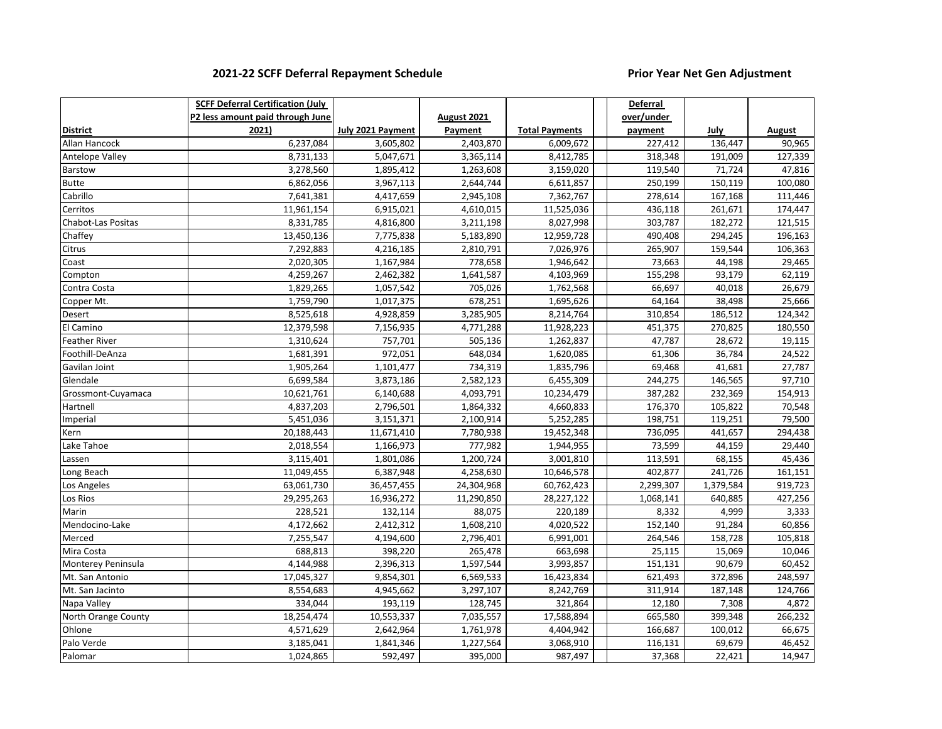### **2021-22 SCFF Deferral Repayment Schedule Prior Year Net Gen Adjustment**

|                      | <b>SCFF Deferral Certification (July</b> |                   |                        |                       | <b>Deferral</b> |           |         |
|----------------------|------------------------------------------|-------------------|------------------------|-----------------------|-----------------|-----------|---------|
|                      | P2 less amount paid through June         |                   | August 2021            |                       | over/under      |           |         |
| <b>District</b>      | 2021)                                    | July 2021 Payment | Payment                | <b>Total Payments</b> | payment         | July      | August  |
| Allan Hancock        | 6,237,084                                | 3,605,802         | 2,403,870              | 6,009,672             | 227,412         | 136,447   | 90,965  |
| Antelope Valley      | 8,731,133                                | 5,047,671         | 3,365,114              | 8,412,785             | 318,348         | 191,009   | 127,339 |
| Barstow              | 3,278,560                                | 1,895,412         | 1,263,608              | 3,159,020             | 119,540         | 71,724    | 47,816  |
| Butte                | 6,862,056                                | 3,967,113         | 2,644,744              | 6,611,857             | 250,199         | 150,119   | 100,080 |
| Cabrillo             | 7,641,381                                | 4,417,659         | 2,945,108              | 7,362,767             | 278,614         | 167,168   | 111,446 |
| Cerritos             | 11,961,154                               | 6,915,021         | 4,610,015              | 11,525,036            | 436,118         | 261,671   | 174,447 |
| Chabot-Las Positas   | 8,331,785                                | 4,816,800         | 3,211,198              | 8,027,998             | 303,787         | 182,272   | 121,515 |
| Chaffey              | 13,450,136                               | 7,775,838         | 5,183,890              | 12,959,728            | 490,408         | 294,245   | 196,163 |
| Citrus               | 7,292,883                                | 4,216,185         | 2,810,791              | 7,026,976             | 265,907         | 159,544   | 106,363 |
| Coast                | 2,020,305                                | 1,167,984         | 778,658                | 1,946,642             | 73,663          | 44,198    | 29,465  |
| Compton              | 4,259,267                                | 2,462,382         | $\overline{1,}641,587$ | 4,103,969             | 155,298         | 93,179    | 62,119  |
| Contra Costa         | 1,829,265                                | 1,057,542         | 705,026                | 1,762,568             | 66,697          | 40,018    | 26,679  |
| Copper Mt.           | 1,759,790                                | 1,017,375         | 678,251                | 1,695,626             | 64,164          | 38,498    | 25,666  |
| Desert               | 8,525,618                                | 4,928,859         | 3,285,905              | 8,214,764             | 310,854         | 186,512   | 124,342 |
| El Camino            | 12,379,598                               | 7,156,935         | 4,771,288              | 11,928,223            | 451,375         | 270,825   | 180,550 |
| <b>Feather River</b> | 1,310,624                                | 757,701           | 505,136                | 1,262,837             | 47,787          | 28,672    | 19,115  |
| Foothill-DeAnza      | 1,681,391                                | 972,051           | 648,034                | 1,620,085             | 61,306          | 36,784    | 24,522  |
| Gavilan Joint        | 1,905,264                                | 1,101,477         | 734,319                | 1,835,796             | 69,468          | 41,681    | 27,787  |
| Glendale             | 6,699,584                                | 3,873,186         | 2,582,123              | 6,455,309             | 244,275         | 146,565   | 97,710  |
| Grossmont-Cuyamaca   | 10,621,761                               | 6,140,688         | 4,093,791              | 10,234,479            | 387,282         | 232,369   | 154,913 |
| Hartnell             | 4,837,203                                | 2,796,501         | 1,864,332              | 4,660,833             | 176,370         | 105,822   | 70,548  |
| Imperial             | 5,451,036                                | 3,151,371         | 2,100,914              | 5,252,285             | 198,751         | 119,251   | 79,500  |
| Kern                 | 20,188,443                               | 11,671,410        | 7,780,938              | 19,452,348            | 736,095         | 441,657   | 294,438 |
| Lake Tahoe           | 2,018,554                                | 1,166,973         | 777,982                | 1,944,955             | 73,599          | 44,159    | 29,440  |
| Lassen               | 3,115,401                                | 1,801,086         | 1,200,724              | 3,001,810             | 113,591         | 68,155    | 45,436  |
| Long Beach           | 11,049,455                               | 6,387,948         | 4,258,630              | 10,646,578            | 402,877         | 241,726   | 161,151 |
| Los Angeles          | 63,061,730                               | 36,457,455        | 24,304,968             | 60,762,423            | 2,299,307       | 1,379,584 | 919,723 |
| Los Rios             | 29,295,263                               | 16,936,272        | 11,290,850             | 28,227,122            | 1,068,141       | 640,885   | 427,256 |
| Marin                | 228,521                                  | 132,114           | 88,075                 | 220,189               | 8,332           | 4,999     | 3,333   |
| Mendocino-Lake       | 4,172,662                                | 2,412,312         | 1,608,210              | 4,020,522             | 152,140         | 91,284    | 60,856  |
| Merced               | 7,255,547                                | 4,194,600         | 2,796,401              | 6,991,001             | 264,546         | 158,728   | 105,818 |
| Mira Costa           | 688,813                                  | 398,220           | 265,478                | 663,698               | 25,115          | 15,069    | 10,046  |
| Monterey Peninsula   | 4,144,988                                | 2,396,313         | 1,597,544              | 3,993,857             | 151,131         | 90,679    | 60,452  |
| Mt. San Antonio      | 17,045,327                               | 9,854,301         | 6,569,533              | 16,423,834            | 621,493         | 372,896   | 248,597 |
| Mt. San Jacinto      | 8,554,683                                | 4,945,662         | 3,297,107              | 8,242,769             | 311,914         | 187,148   | 124,766 |
| Napa Valley          | 334,044                                  | 193,119           | 128,745                | 321,864               | 12,180          | 7,308     | 4,872   |
| North Orange County  | 18,254,474                               | 10,553,337        | 7,035,557              | 17,588,894            | 665,580         | 399,348   | 266,232 |
| Ohlone               | 4,571,629                                | 2,642,964         | 1,761,978              | 4,404,942             | 166,687         | 100,012   | 66,675  |
| Palo Verde           | 3,185,041                                | 1,841,346         | 1,227,564              | 3,068,910             | 116,131         | 69,679    | 46,452  |
| Palomar              | 1,024,865                                | 592,497           | 395,000                | 987,497               | 37,368          | 22,421    | 14,947  |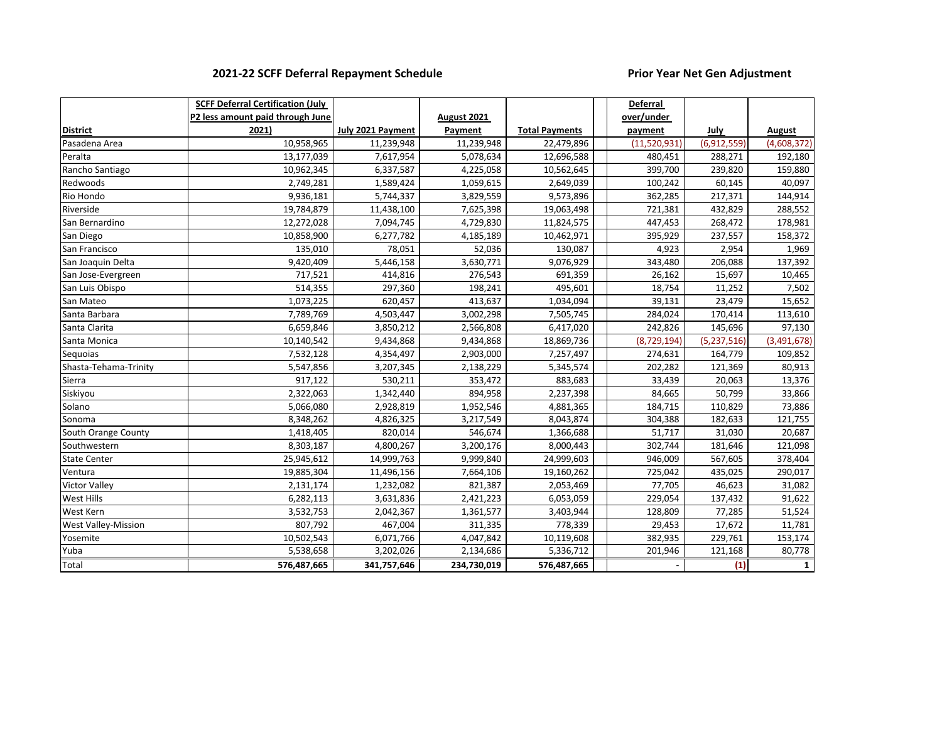### **2021-22 SCFF Deferral Repayment Schedule Prior Year Net Gen Adjustment**

|                            | <b>SCFF Deferral Certification (July</b> |                   |             |                       | <b>Deferral</b> |             |              |
|----------------------------|------------------------------------------|-------------------|-------------|-----------------------|-----------------|-------------|--------------|
|                            | P2 less amount paid through June         |                   | August 2021 |                       | over/under      |             |              |
| <b>District</b>            | 2021)                                    | July 2021 Payment | Payment     | <b>Total Payments</b> | payment         | July        | August       |
| Pasadena Area              | 10,958,965                               | 11,239,948        | 11,239,948  | 22,479,896            | (11,520,931)    | (6,912,559) | (4,608,372)  |
| Peralta                    | 13,177,039                               | 7,617,954         | 5,078,634   | 12,696,588            | 480,451         | 288,271     | 192,180      |
| Rancho Santiago            | 10,962,345                               | 6,337,587         | 4,225,058   | 10,562,645            | 399,700         | 239,820     | 159,880      |
| Redwoods                   | 2,749,281                                | 1,589,424         | 1,059,615   | 2,649,039             | 100,242         | 60,145      | 40,097       |
| Rio Hondo                  | 9,936,181                                | 5,744,337         | 3,829,559   | 9,573,896             | 362,285         | 217,371     | 144,914      |
| Riverside                  | 19,784,879                               | 11,438,100        | 7,625,398   | 19,063,498            | 721,381         | 432,829     | 288,552      |
| San Bernardino             | 12,272,028                               | 7,094,745         | 4,729,830   | 11,824,575            | 447,453         | 268,472     | 178,981      |
| San Diego                  | 10,858,900                               | 6,277,782         | 4,185,189   | 10,462,971            | 395,929         | 237,557     | 158,372      |
| San Francisco              | 135,010                                  | 78,051            | 52,036      | 130,087               | 4,923           | 2,954       | 1,969        |
| San Joaquin Delta          | 9,420,409                                | 5,446,158         | 3,630,771   | 9,076,929             | 343,480         | 206,088     | 137,392      |
| San Jose-Evergreen         | 717,521                                  | 414,816           | 276,543     | 691,359               | 26,162          | 15,697      | 10,465       |
| San Luis Obispo            | 514,355                                  | 297,360           | 198,241     | 495,601               | 18,754          | 11,252      | 7,502        |
| San Mateo                  | 1,073,225                                | 620,457           | 413,637     | 1,034,094             | 39,131          | 23,479      | 15,652       |
| Santa Barbara              | 7,789,769                                | 4,503,447         | 3,002,298   | 7,505,745             | 284,024         | 170,414     | 113,610      |
| Santa Clarita              | 6,659,846                                | 3,850,212         | 2,566,808   | 6,417,020             | 242,826         | 145,696     | 97,130       |
| Santa Monica               | 10,140,542                               | 9,434,868         | 9,434,868   | 18,869,736            | (8,729,194)     | (5,237,516) | (3,491,678)  |
| Seguoias                   | 7,532,128                                | 4,354,497         | 2,903,000   | 7,257,497             | 274,631         | 164,779     | 109,852      |
| Shasta-Tehama-Trinity      | 5,547,856                                | 3,207,345         | 2,138,229   | 5,345,574             | 202,282         | 121,369     | 80,913       |
| Sierra                     | 917,122                                  | 530,211           | 353,472     | 883,683               | 33,439          | 20,063      | 13,376       |
| Siskiyou                   | 2,322,063                                | 1,342,440         | 894,958     | 2,237,398             | 84,665          | 50,799      | 33,866       |
| Solano                     | 5,066,080                                | 2,928,819         | 1,952,546   | 4,881,365             | 184,715         | 110,829     | 73,886       |
| Sonoma                     | 8,348,262                                | 4,826,325         | 3,217,549   | 8,043,874             | 304,388         | 182,633     | 121,755      |
| South Orange County        | 1,418,405                                | 820,014           | 546,674     | 1,366,688             | 51,717          | 31,030      | 20,687       |
| Southwestern               | 8,303,187                                | 4,800,267         | 3,200,176   | 8,000,443             | 302,744         | 181,646     | 121,098      |
| <b>State Center</b>        | 25,945,612                               | 14,999,763        | 9,999,840   | 24,999,603            | 946,009         | 567,605     | 378,404      |
| Ventura                    | 19,885,304                               | 11,496,156        | 7,664,106   | 19,160,262            | 725,042         | 435,025     | 290,017      |
| <b>Victor Valley</b>       | 2,131,174                                | 1,232,082         | 821,387     | 2,053,469             | 77,705          | 46,623      | 31,082       |
| <b>West Hills</b>          | 6,282,113                                | 3,631,836         | 2,421,223   | 6,053,059             | 229,054         | 137,432     | 91,622       |
| <b>West Kern</b>           | 3,532,753                                | 2,042,367         | 1,361,577   | 3,403,944             | 128,809         | 77,285      | 51,524       |
| <b>West Valley-Mission</b> | 807,792                                  | 467,004           | 311,335     | 778,339               | 29,453          | 17,672      | 11,781       |
| Yosemite                   | 10,502,543                               | 6,071,766         | 4,047,842   | 10,119,608            | 382,935         | 229,761     | 153,174      |
| Yuba                       | 5,538,658                                | 3,202,026         | 2,134,686   | 5,336,712             | 201,946         | 121,168     | 80,778       |
| Total                      | 576,487,665                              | 341,757,646       | 234,730,019 | 576,487,665           |                 | (1)         | $\mathbf{1}$ |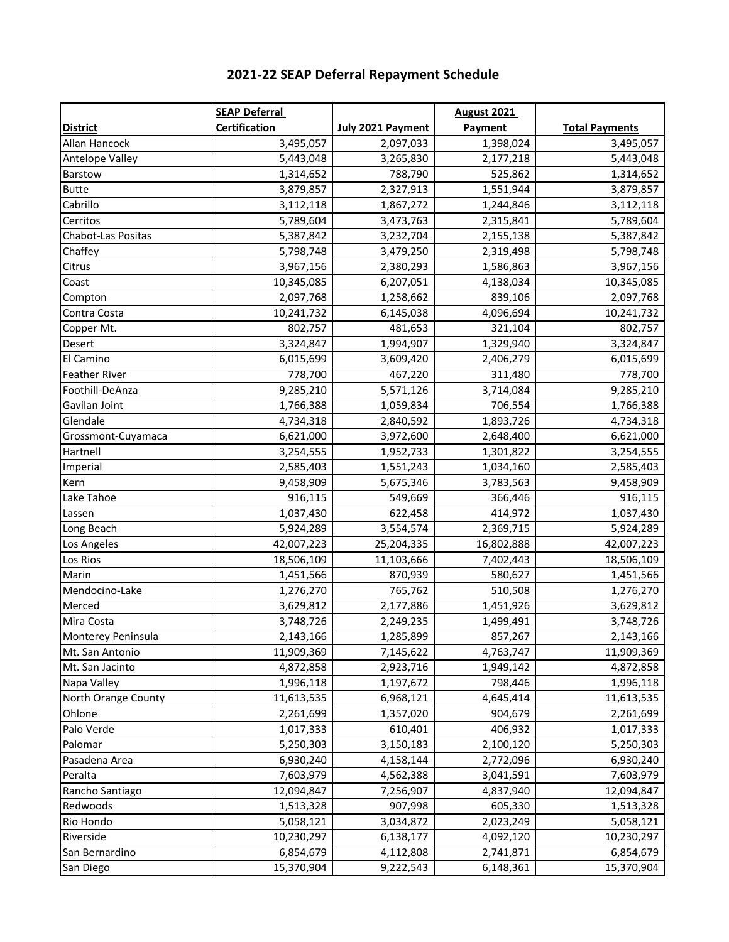| 2021-22 SEAP Deferral Repayment Schedule |
|------------------------------------------|
|                                          |

|                      | <b>SEAP Deferral</b> |                   | <b>August 2021</b> |                       |
|----------------------|----------------------|-------------------|--------------------|-----------------------|
| <b>District</b>      | <b>Certification</b> | July 2021 Payment | Payment            | <b>Total Payments</b> |
| Allan Hancock        | 3,495,057            | 2,097,033         | 1,398,024          | 3,495,057             |
| Antelope Valley      | 5,443,048            | 3,265,830         | 2,177,218          | 5,443,048             |
| Barstow              | 1,314,652            | 788,790           | 525,862            | 1,314,652             |
| <b>Butte</b>         | 3,879,857            | 2,327,913         | 1,551,944          | 3,879,857             |
| Cabrillo             | 3,112,118            | 1,867,272         | 1,244,846          | 3,112,118             |
| Cerritos             | 5,789,604            | 3,473,763         | 2,315,841          | 5,789,604             |
| Chabot-Las Positas   | 5,387,842            | 3,232,704         | 2,155,138          | 5,387,842             |
| Chaffey              | 5,798,748            | 3,479,250         | 2,319,498          | 5,798,748             |
| Citrus               | 3,967,156            | 2,380,293         | 1,586,863          | 3,967,156             |
| Coast                | 10,345,085           | 6,207,051         | 4,138,034          | 10,345,085            |
| Compton              | 2,097,768            | 1,258,662         | 839,106            | 2,097,768             |
| Contra Costa         | 10,241,732           | 6,145,038         | 4,096,694          | 10,241,732            |
| Copper Mt.           | 802,757              | 481,653           | 321,104            | 802,757               |
| Desert               | 3,324,847            | 1,994,907         | 1,329,940          | 3,324,847             |
| El Camino            | 6,015,699            | 3,609,420         | 2,406,279          | 6,015,699             |
| <b>Feather River</b> | 778,700              | 467,220           | 311,480            | 778,700               |
| Foothill-DeAnza      | 9,285,210            | 5,571,126         | 3,714,084          | 9,285,210             |
| Gavilan Joint        | 1,766,388            | 1,059,834         | 706,554            | 1,766,388             |
| Glendale             | 4,734,318            | 2,840,592         | 1,893,726          | 4,734,318             |
| Grossmont-Cuyamaca   | 6,621,000            | 3,972,600         | 2,648,400          | 6,621,000             |
| Hartnell             | 3,254,555            | 1,952,733         | 1,301,822          | 3,254,555             |
| Imperial             | 2,585,403            | 1,551,243         | 1,034,160          | 2,585,403             |
| Kern                 | 9,458,909            | 5,675,346         | 3,783,563          | 9,458,909             |
| Lake Tahoe           | 916,115              | 549,669           | 366,446            | 916,115               |
| Lassen               | 1,037,430            | 622,458           | 414,972            | 1,037,430             |
| Long Beach           | 5,924,289            | 3,554,574         | 2,369,715          | 5,924,289             |
| Los Angeles          | 42,007,223           | 25,204,335        | 16,802,888         | 42,007,223            |
| Los Rios             | 18,506,109           | 11,103,666        | 7,402,443          | 18,506,109            |
| Marin                | 1,451,566            | 870,939           | 580,627            | 1,451,566             |
| Mendocino-Lake       | 1,276,270            | 765,762           | 510,508            | 1,276,270             |
| Merced               | 3,629,812            | 2,177,886         | 1,451,926          | 3,629,812             |
| Mira Costa           | 3,748,726            | 2,249,235         | 1,499,491          | 3,748,726             |
| Monterey Peninsula   | 2,143,166            | 1,285,899         | 857,267            | 2,143,166             |
| Mt. San Antonio      | 11,909,369           | 7,145,622         | 4,763,747          | 11,909,369            |
| Mt. San Jacinto      | 4,872,858            | 2,923,716         | 1,949,142          | 4,872,858             |
| Napa Valley          | 1,996,118            | 1,197,672         | 798,446            | 1,996,118             |
| North Orange County  | 11,613,535           | 6,968,121         | 4,645,414          | 11,613,535            |
| Ohlone               | 2,261,699            | 1,357,020         | 904,679            | 2,261,699             |
| Palo Verde           | 1,017,333            | 610,401           | 406,932            | 1,017,333             |
| Palomar              | 5,250,303            | 3,150,183         | 2,100,120          | 5,250,303             |
| Pasadena Area        | 6,930,240            | 4,158,144         | 2,772,096          | 6,930,240             |
| Peralta              | 7,603,979            | 4,562,388         | 3,041,591          | 7,603,979             |
| Rancho Santiago      | 12,094,847           | 7,256,907         | 4,837,940          | 12,094,847            |
| Redwoods             | 1,513,328            | 907,998           | 605,330            | 1,513,328             |
| Rio Hondo            | 5,058,121            | 3,034,872         | 2,023,249          | 5,058,121             |
| Riverside            | 10,230,297           | 6,138,177         | 4,092,120          | 10,230,297            |
| San Bernardino       | 6,854,679            | 4,112,808         | 2,741,871          | 6,854,679             |
| San Diego            | 15,370,904           | 9,222,543         | 6,148,361          | 15,370,904            |